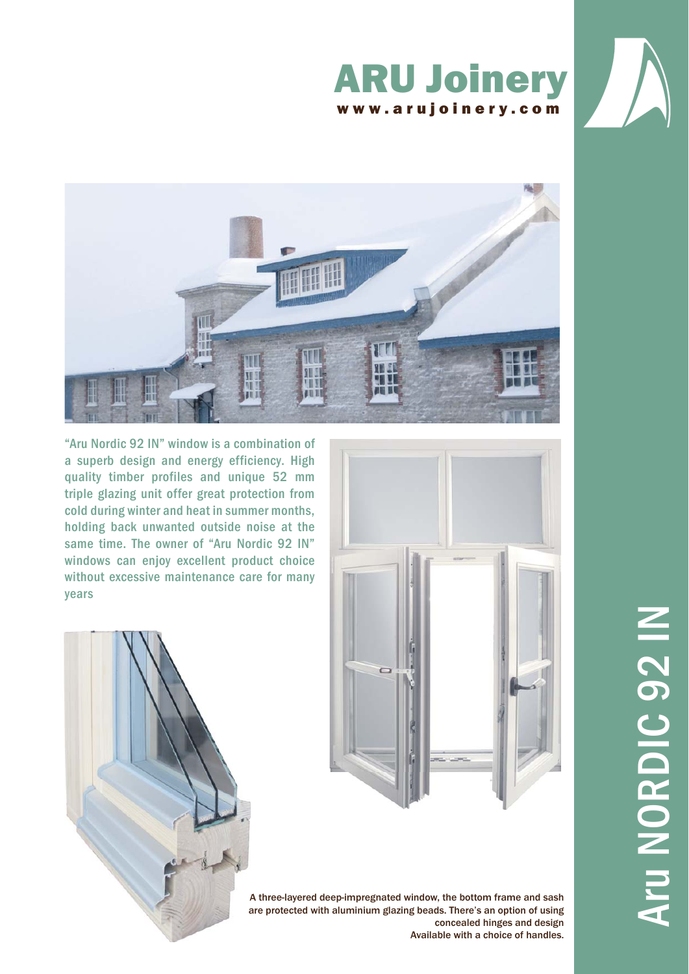





"Aru Nordic 92 IN" window is a combination of a superb design and energy efficiency. High quality timber profiles and unique 52 mm triple glazing unit offer great protection from cold during winter and heat in summer months, holding back unwanted outside noise at the same time. The owner of "Aru Nordic 92 IN" windows can enjoy excellent product choice without excessive maintenance care for many years





A three-layered deep-impregnated window, the bottom frame and sash A are protected with aluminium glazing beads. There's an option of using aconcealed hinges and design Available with a choice of handles.